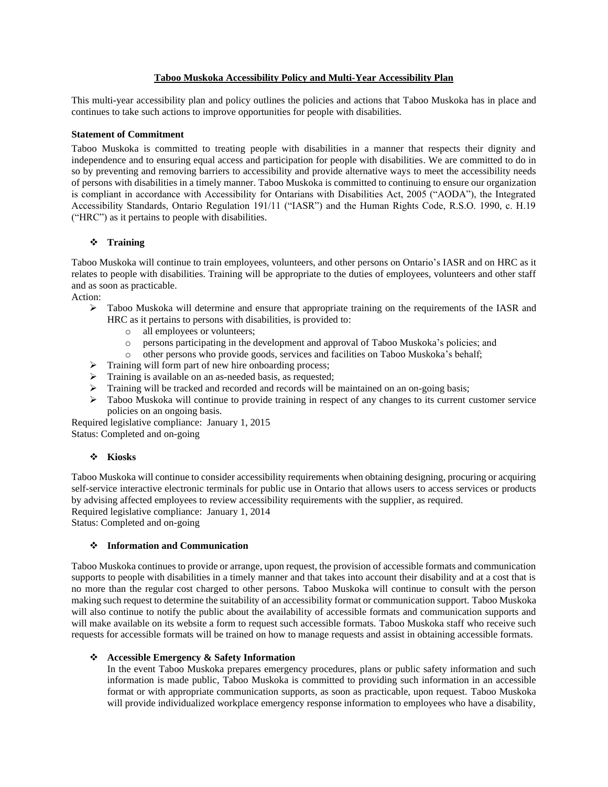### **Taboo Muskoka Accessibility Policy and Multi-Year Accessibility Plan**

This multi-year accessibility plan and policy outlines the policies and actions that Taboo Muskoka has in place and continues to take such actions to improve opportunities for people with disabilities.

### **Statement of Commitment**

Taboo Muskoka is committed to treating people with disabilities in a manner that respects their dignity and independence and to ensuring equal access and participation for people with disabilities. We are committed to do in so by preventing and removing barriers to accessibility and provide alternative ways to meet the accessibility needs of persons with disabilities in a timely manner. Taboo Muskoka is committed to continuing to ensure our organization is compliant in accordance with Accessibility for Ontarians with Disabilities Act, 2005 ("AODA"), the Integrated Accessibility Standards, Ontario Regulation 191/11 ("IASR") and the Human Rights Code, R.S.O. 1990, c. H.19 ("HRC") as it pertains to people with disabilities.

### ❖ **Training**

Taboo Muskoka will continue to train employees, volunteers, and other persons on Ontario's IASR and on HRC as it relates to people with disabilities. Training will be appropriate to the duties of employees, volunteers and other staff and as soon as practicable.

Action:

- ➢ Taboo Muskoka will determine and ensure that appropriate training on the requirements of the IASR and HRC as it pertains to persons with disabilities, is provided to:
	- o all employees or volunteers;
	- o persons participating in the development and approval of Taboo Muskoka's policies; and
	- o other persons who provide goods, services and facilities on Taboo Muskoka's behalf;
- ➢ Training will form part of new hire onboarding process;
- ➢ Training is available on an as-needed basis, as requested;
- ➢ Training will be tracked and recorded and records will be maintained on an on-going basis;
- ➢ Taboo Muskoka will continue to provide training in respect of any changes to its current customer service policies on an ongoing basis.

Required legislative compliance: January 1, 2015 Status: Completed and on-going

# ❖ **Kiosks**

Taboo Muskoka will continue to consider accessibility requirements when obtaining designing, procuring or acquiring self-service interactive electronic terminals for public use in Ontario that allows users to access services or products by advising affected employees to review accessibility requirements with the supplier, as required. Required legislative compliance: January 1, 2014

Status: Completed and on-going

# ❖ **Information and Communication**

Taboo Muskoka continues to provide or arrange, upon request, the provision of accessible formats and communication supports to people with disabilities in a timely manner and that takes into account their disability and at a cost that is no more than the regular cost charged to other persons. Taboo Muskoka will continue to consult with the person making such request to determine the suitability of an accessibility format or communication support. Taboo Muskoka will also continue to notify the public about the availability of accessible formats and communication supports and will make available on its website a form to request such accessible formats. Taboo Muskoka staff who receive such requests for accessible formats will be trained on how to manage requests and assist in obtaining accessible formats.

#### ❖ **Accessible Emergency & Safety Information**

In the event Taboo Muskoka prepares emergency procedures, plans or public safety information and such information is made public, Taboo Muskoka is committed to providing such information in an accessible format or with appropriate communication supports, as soon as practicable, upon request. Taboo Muskoka will provide individualized workplace emergency response information to employees who have a disability,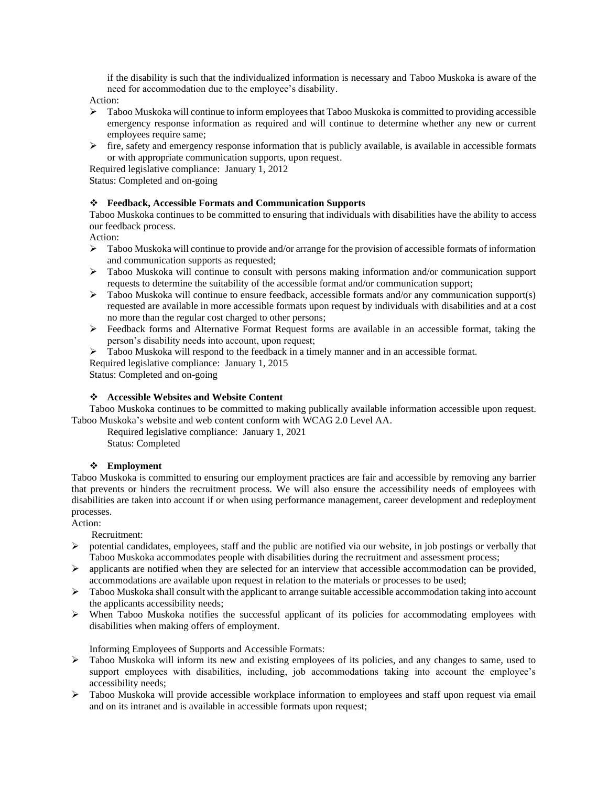if the disability is such that the individualized information is necessary and Taboo Muskoka is aware of the need for accommodation due to the employee's disability.

Action:

- $\triangleright$  Taboo Muskoka will continue to inform employees that Taboo Muskoka is committed to providing accessible emergency response information as required and will continue to determine whether any new or current employees require same;
- $\triangleright$  fire, safety and emergency response information that is publicly available, is available in accessible formats or with appropriate communication supports, upon request.

Required legislative compliance: January 1, 2012

Status: Completed and on-going

# ❖ **Feedback, Accessible Formats and Communication Supports**

Taboo Muskoka continues to be committed to ensuring that individuals with disabilities have the ability to access our feedback process.

Action:

- $\triangleright$  Taboo Muskoka will continue to provide and/or arrange for the provision of accessible formats of information and communication supports as requested;
- ➢ Taboo Muskoka will continue to consult with persons making information and/or communication support requests to determine the suitability of the accessible format and/or communication support;
- ➢ Taboo Muskoka will continue to ensure feedback, accessible formats and/or any communication support(s) requested are available in more accessible formats upon request by individuals with disabilities and at a cost no more than the regular cost charged to other persons;
- ➢ Feedback forms and Alternative Format Request forms are available in an accessible format, taking the person's disability needs into account, upon request;
- ➢ Taboo Muskoka will respond to the feedback in a timely manner and in an accessible format. Required legislative compliance: January 1, 2015

Status: Completed and on-going

#### ❖ **Accessible Websites and Website Content**

Taboo Muskoka continues to be committed to making publically available information accessible upon request. Taboo Muskoka's website and web content conform with WCAG 2.0 Level AA.

Required legislative compliance: January 1, 2021 Status: Completed

# ❖ **Employment**

Taboo Muskoka is committed to ensuring our employment practices are fair and accessible by removing any barrier that prevents or hinders the recruitment process. We will also ensure the accessibility needs of employees with disabilities are taken into account if or when using performance management, career development and redeployment processes.

Action:

Recruitment:

- $\triangleright$  potential candidates, employees, staff and the public are notified via our website, in job postings or verbally that Taboo Muskoka accommodates people with disabilities during the recruitment and assessment process;
- $\triangleright$  applicants are notified when they are selected for an interview that accessible accommodation can be provided, accommodations are available upon request in relation to the materials or processes to be used;
- $\triangleright$  Taboo Muskoka shall consult with the applicant to arrange suitable accessible accommodation taking into account the applicants accessibility needs;
- $\triangleright$  When Taboo Muskoka notifies the successful applicant of its policies for accommodating employees with disabilities when making offers of employment.

Informing Employees of Supports and Accessible Formats:

- ➢ Taboo Muskoka will inform its new and existing employees of its policies, and any changes to same, used to support employees with disabilities, including, job accommodations taking into account the employee's accessibility needs;
- ➢ Taboo Muskoka will provide accessible workplace information to employees and staff upon request via email and on its intranet and is available in accessible formats upon request;